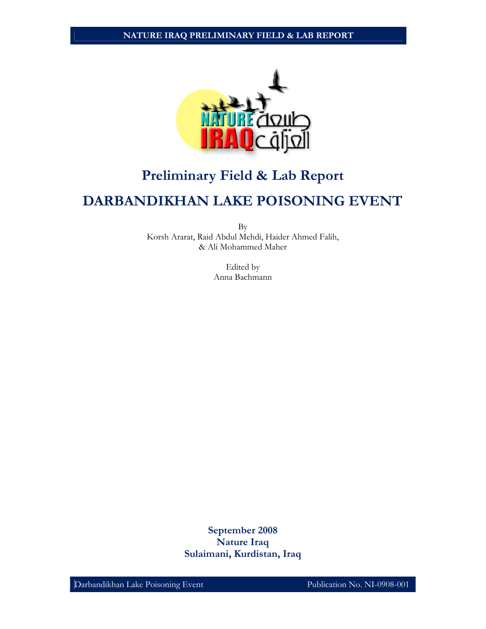

## **Preliminary Field & Lab Report**

# **DARBANDIKHAN LAKE POISONING EVENT**

By Korsh Ararat, Raid Abdul Mehdi, Haider Ahmed Falih, & Ali Mohammed Maher

> Edited by Anna Bachmann

**September 2008 Nature Iraq Sulaimani, Kurdistan, Iraq**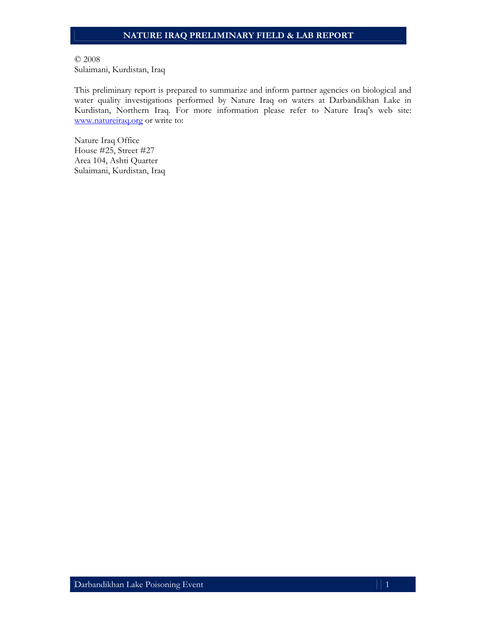© 2008 Sulaimani, Kurdistan, Iraq

This preliminary report is prepared to summarize and inform partner agencies on biological and water quality investigations performed by Nature Iraq on waters at Darbandikhan Lake in Kurdistan, Northern Iraq. For more information please refer to Nature Iraq's web site: www.natureiraq.org or write to:

Nature Iraq Office House #25, Street #27 Area 104, Ashti Quarter Sulaimani, Kurdistan, Iraq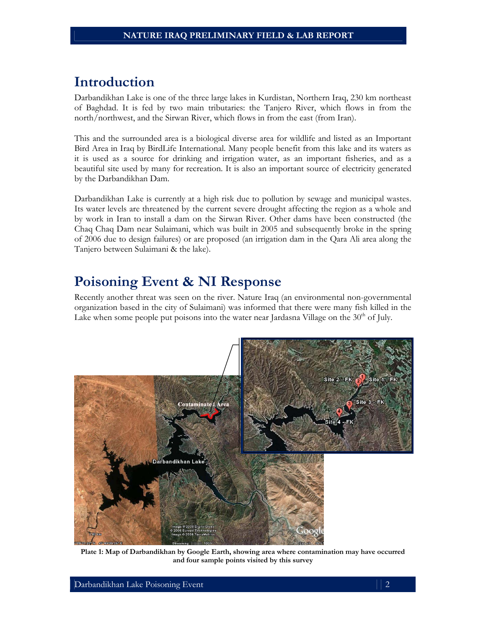## **Introduction**

Darbandikhan Lake is one of the three large lakes in Kurdistan, Northern Iraq, 230 km northeast of Baghdad. It is fed by two main tributaries: the Tanjero River, which flows in from the north/northwest, and the Sirwan River, which flows in from the east (from Iran).

This and the surrounded area is a biological diverse area for wildlife and listed as an Important Bird Area in Iraq by BirdLife International. Many people benefit from this lake and its waters as it is used as a source for drinking and irrigation water, as an important fisheries, and as a beautiful site used by many for recreation. It is also an important source of electricity generated by the Darbandikhan Dam.

Darbandikhan Lake is currently at a high risk due to pollution by sewage and municipal wastes. Its water levels are threatened by the current severe drought affecting the region as a whole and by work in Iran to install a dam on the Sirwan River. Other dams have been constructed (the Chaq Chaq Dam near Sulaimani, which was built in 2005 and subsequently broke in the spring of 2006 due to design failures) or are proposed (an irrigation dam in the Qara Ali area along the Tanjero between Sulaimani & the lake).

## **Poisoning Event & NI Response**

Recently another threat was seen on the river. Nature Iraq (an environmental non-governmental organization based in the city of Sulaimani) was informed that there were many fish killed in the Lake when some people put poisons into the water near Jardasna Village on the  $30<sup>th</sup>$  of July.



**Plate 1: Map of Darbandikhan by Google Earth, showing area where contamination may have occurred and four sample points visited by this survey**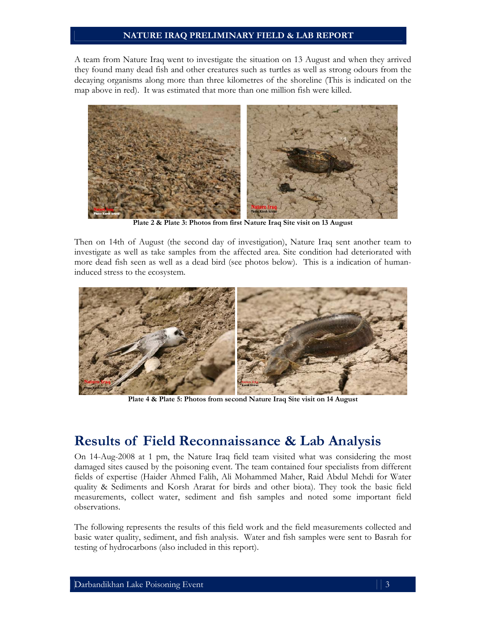A team from Nature Iraq went to investigate the situation on 13 August and when they arrived they found many dead fish and other creatures such as turtles as well as strong odours from the decaying organisms along more than three kilometres of the shoreline (This is indicated on the map above in red). It was estimated that more than one million fish were killed.



**Plate 2 & Plate 3: Photos from first Nature Iraq Site visit on 13 August** 

Then on 14th of August (the second day of investigation), Nature Iraq sent another team to investigate as well as take samples from the affected area. Site condition had deteriorated with more dead fish seen as well as a dead bird (see photos below). This is a indication of humaninduced stress to the ecosystem.



**Plate 4 & Plate 5: Photos from second Nature Iraq Site visit on 14 August** 

## **Results of Field Reconnaissance & Lab Analysis**

On 14-Aug-2008 at 1 pm, the Nature Iraq field team visited what was considering the most damaged sites caused by the poisoning event. The team contained four specialists from different fields of expertise (Haider Ahmed Falih, Ali Mohammed Maher, Raid Abdul Mehdi for Water quality & Sediments and Korsh Ararat for birds and other biota). They took the basic field measurements, collect water, sediment and fish samples and noted some important field observations.

The following represents the results of this field work and the field measurements collected and basic water quality, sediment, and fish analysis. Water and fish samples were sent to Basrah for testing of hydrocarbons (also included in this report).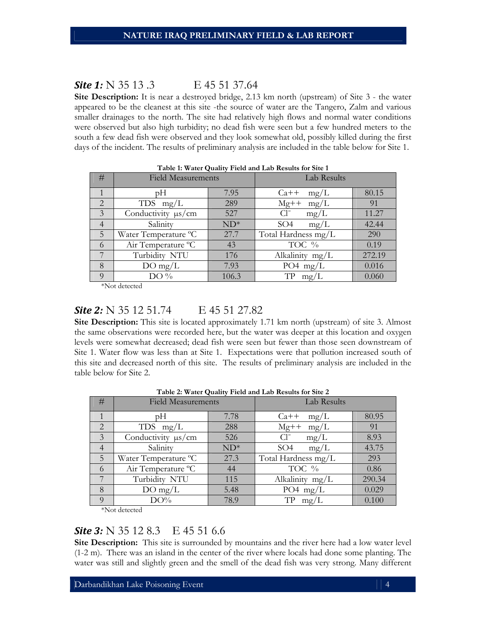### **Site 1:** N 35 13 .3 E 45 51 37.64

**Site Description:** It is near a destroyed bridge, 2.13 km north (upstream) of Site 3 - the water appeared to be the cleanest at this site -the source of water are the Tangero, Zalm and various smaller drainages to the north. The site had relatively high flows and normal water conditions were observed but also high turbidity; no dead fish were seen but a few hundred meters to the south a few dead fish were observed and they look somewhat old, possibly killed during the first days of the incident. The results of preliminary analysis are included in the table below for Site 1.

| Table 1: water Quality Field and Lab Results for Site 1 |                           |        |                         |        |  |  |  |
|---------------------------------------------------------|---------------------------|--------|-------------------------|--------|--|--|--|
| #                                                       | <b>Field Measurements</b> |        | Lab Results             |        |  |  |  |
|                                                         | рH                        | 7.95   | $Ca++$<br>mg/L          | 80.15  |  |  |  |
| 2                                                       | TDS $mg/L$                | 289    | $Mg++$<br>mg/L          | 91     |  |  |  |
| 3                                                       | Conductivity $\mu s/cm$   | 527    | $Cl^{-}$<br>mg/L        | 11.27  |  |  |  |
| $\overline{4}$                                          | Salinity                  | $ND^*$ | SO <sub>4</sub><br>mg/L | 42.44  |  |  |  |
| 5                                                       | Water Temperature °C      | 27.7   | Total Hardness mg/L     | 290    |  |  |  |
| 6                                                       | Air Temperature °C        | 43     | TOC %                   | 0.19   |  |  |  |
| 7                                                       | Turbidity NTU             | 176    | Alkalinity mg/L         | 272.19 |  |  |  |
| 8                                                       | $DO$ mg/L                 | 7.93   | PO4 $mg/L$              | 0.016  |  |  |  |
| 9                                                       | $DO\%$                    | 106.3  | TP<br>mg/L              | 0.060  |  |  |  |

| Table 1: Water Quality Field and Lab Results for Site 1 |  |  |  |  |  |  |  |
|---------------------------------------------------------|--|--|--|--|--|--|--|
|---------------------------------------------------------|--|--|--|--|--|--|--|

\*Not detected

## **Site 2:** N 35 12 51.74 E 45 51 27.82

**Site Description:** This site is located approximately 1.71 km north (upstream) of site 3. Almost the same observations were recorded here, but the water was deeper at this location and oxygen levels were somewhat decreased; dead fish were seen but fewer than those seen downstream of Site 1. Water flow was less than at Site 1. Expectations were that pollution increased south of this site and decreased north of this site. The results of preliminary analysis are included in the table below for Site 2.

| #              | <b>Field Measurements</b> |        | Lab Results             |        |  |  |  |
|----------------|---------------------------|--------|-------------------------|--------|--|--|--|
|                | pΗ                        | 7.78   | $Ca++$<br>mg/L          | 80.95  |  |  |  |
| $\overline{2}$ | TDS $mg/L$                | 288    | $Mg++$<br>mg/L          | 91     |  |  |  |
| 3              | Conductivity $\mu s/cm$   | 526    | $Cl^{-}$<br>mg/L        | 8.93   |  |  |  |
| $\overline{4}$ | Salinity                  | $ND^*$ | SO <sub>4</sub><br>mg/L | 43.75  |  |  |  |
| 5              | Water Temperature °C      | 27.3   | Total Hardness mg/L     | 293    |  |  |  |
| 6              | Air Temperature °C        | 44     | TOC %                   | 0.86   |  |  |  |
|                | Turbidity NTU             | 115    | Alkalinity mg/L         | 290.34 |  |  |  |
| 8              | $DO$ mg/L                 | 5.48   | PO4 $mg/L$              | 0.029  |  |  |  |
|                | DO%                       | 78.9   | TP<br>mg/L              | 0.100  |  |  |  |

**Table 2: Water Quality Field and Lab Results for Site 2**

\*Not detected

## **Site 3:** N 35 12 8.3 E 45 51 6.6

**Site Description:** This site is surrounded by mountains and the river here had a low water level (1-2 m). There was an island in the center of the river where locals had done some planting. The water was still and slightly green and the smell of the dead fish was very strong. Many different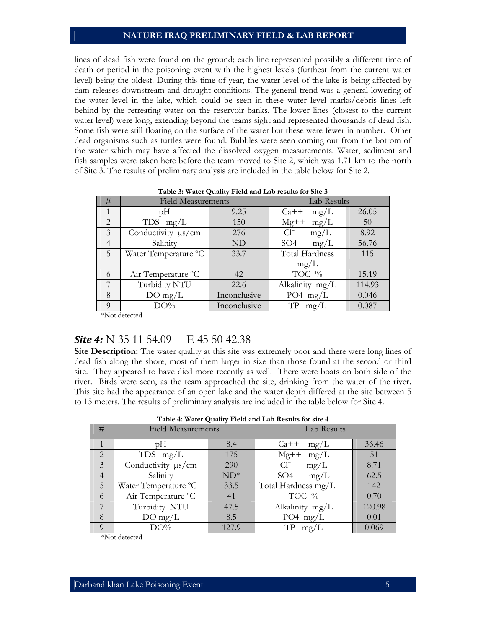lines of dead fish were found on the ground; each line represented possibly a different time of death or period in the poisoning event with the highest levels (furthest from the current water level) being the oldest. During this time of year, the water level of the lake is being affected by dam releases downstream and drought conditions. The general trend was a general lowering of the water level in the lake, which could be seen in these water level marks/debris lines left behind by the retreating water on the reservoir banks. The lower lines (closest to the current water level) were long, extending beyond the teams sight and represented thousands of dead fish. Some fish were still floating on the surface of the water but these were fewer in number. Other dead organisms such as turtles were found. Bubbles were seen coming out from the bottom of the water which may have affected the dissolved oxygen measurements. Water, sediment and fish samples were taken here before the team moved to Site 2, which was 1.71 km to the north of Site 3. The results of preliminary analysis are included in the table below for Site 2.

| #              | <b>Field Measurements</b> |              | Lab Results             |        |  |
|----------------|---------------------------|--------------|-------------------------|--------|--|
| 1              | рH                        | 9.25         | mg/L<br>$Ca++$          | 26.05  |  |
| 2              | TDS $mg/L$                | 150          | $Mg++$<br>mg/L          | 50     |  |
| 3              | Conductivity $\mu s/cm$   | 276          | $Cl^-$<br>mg/L          | 8.92   |  |
| $\overline{4}$ | Salinity                  | ND           | SO <sub>4</sub><br>mg/L | 56.76  |  |
| 5              | Water Temperature °C      | 33.7         | <b>Total Hardness</b>   | 115    |  |
|                |                           |              | mg/L                    |        |  |
| 6              | Air Temperature °C        | 42           | TOC %                   | 15.19  |  |
| 7              | Turbidity NTU             | 22.6         | Alkalinity mg/L         | 114.93 |  |
| 8              | $DO$ mg/L                 | Inconclusive | PO4 $mg/L$              | 0.046  |  |
| $\Omega$       | DO%                       | Inconclusive | TP<br>mg/L              | 0.087  |  |

**Table 3: Water Quality Field and Lab results for Site 3**

\*Not detected

## **Site 4:** N 35 11 54.09 E 45 50 42.38

**Site Description:** The water quality at this site was extremely poor and there were long lines of dead fish along the shore, most of them larger in size than those found at the second or third site. They appeared to have died more recently as well. There were boats on both side of the river. Birds were seen, as the team approached the site, drinking from the water of the river. This site had the appearance of an open lake and the water depth differed at the site between 5 to 15 meters. The results of preliminary analysis are included in the table below for Site 4.

|                | Table 7. Water Quality I feld and Lab Results for site 7 |        |                         |        |  |  |  |  |
|----------------|----------------------------------------------------------|--------|-------------------------|--------|--|--|--|--|
| #              | <b>Field Measurements</b>                                |        | Lab Results             |        |  |  |  |  |
|                | pΗ                                                       | 8.4    | $Ca++$<br>mg/L          | 36.46  |  |  |  |  |
| 2              | TDS $mg/L$                                               | 175    | $Mg++$<br>mg/L          | 51     |  |  |  |  |
| $\overline{3}$ | Conductivity $\mu s/cm$                                  | 290    | $Cl^{-}$<br>mg/L        | 8.71   |  |  |  |  |
| $\overline{4}$ | Salinity                                                 | $ND^*$ | SO <sub>4</sub><br>mg/L | 62.5   |  |  |  |  |
| 5              | Water Temperature °C                                     | 33.5   | Total Hardness mg/L     | 142    |  |  |  |  |
| 6              | Air Temperature °C                                       | 41     | TOC %                   | 0.70   |  |  |  |  |
| 7              | Turbidity NTU                                            | 47.5   | Alkalinity mg/L         | 120.98 |  |  |  |  |
| 8              | $DO$ mg/L                                                | 8.5    | PO4 $mg/L$              | 0.01   |  |  |  |  |
| $\Omega$       | DO%                                                      | 127.9  | TP<br>mg/L              | 0.069  |  |  |  |  |

**Table 4: Water Quality Field and Lab Results for site 4**

\*Not detected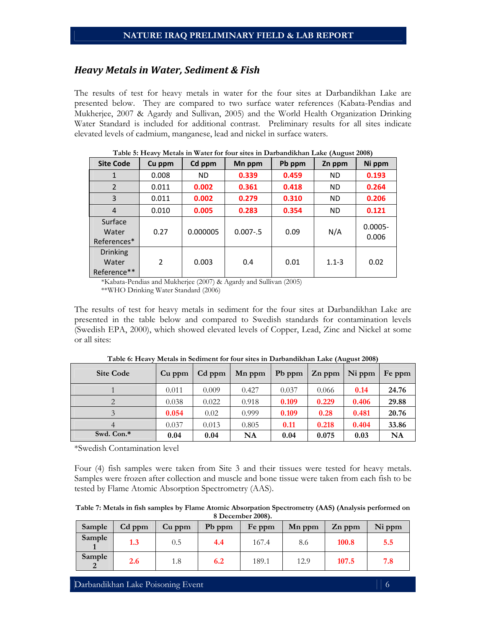#### *Heavy Metals in Water, Sediment & Fish*

The results of test for heavy metals in water for the four sites at Darbandikhan Lake are presented below. They are compared to two surface water references (Kabata-Pendias and Mukherjee, 2007 & Agardy and Sullivan, 2005) and the World Health Organization Drinking Water Standard is included for additional contrast. Preliminary results for all sites indicate elevated levels of cadmium, manganese, lead and nickel in surface waters.

| <b>Site Code</b>                        | Cu ppm         | Cd ppm    | Mn ppm      | Pb ppm | Zn ppm    | Ni ppm              |
|-----------------------------------------|----------------|-----------|-------------|--------|-----------|---------------------|
| 1                                       | 0.008          | <b>ND</b> | 0.339       | 0.459  | <b>ND</b> | 0.193               |
| 2                                       | 0.011          | 0.002     | 0.361       | 0.418  | <b>ND</b> | 0.264               |
| 3                                       | 0.011          | 0.002     | 0.279       | 0.310  | <b>ND</b> | 0.206               |
| 4                                       | 0.010          | 0.005     | 0.283       | 0.354  | <b>ND</b> | 0.121               |
| Surface<br>Water<br>References*         | 0.27           | 0.000005  | $0.007 - 5$ | 0.09   | N/A       | $0.0005 -$<br>0.006 |
| <b>Drinking</b><br>Water<br>Reference** | $\overline{2}$ | 0.003     | 0.4         | 0.01   | $1.1 - 3$ | 0.02                |

**Table 5: Heavy Metals in Water for four sites in Darbandikhan Lake (August 2008)** 

\*Kabata-Pendias and Mukherjee (2007) & Agardy and Sullivan (2005)

\*\*WHO Drinking Water Standard (2006)

The results of test for heavy metals in sediment for the four sites at Darbandikhan Lake are presented in the table below and compared to Swedish standards for contamination levels (Swedish EPA, 2000), which showed elevated levels of Copper, Lead, Zinc and Nickel at some or all sites:

| <b>Site Code</b> | Cu ppm | Cd ppm | Mn ppm | Pb ppm | Zn ppm | Ni ppm | Fe ppm |
|------------------|--------|--------|--------|--------|--------|--------|--------|
|                  | 0.011  | 0.009  | 0.427  | 0.037  | 0.066  | 0.14   | 24.76  |
|                  | 0.038  | 0.022  | 0.918  | 0.109  | 0.229  | 0.406  | 29.88  |
|                  | 0.054  | 0.02   | 0.999  | 0.109  | 0.28   | 0.481  | 20.76  |
|                  | 0.037  | 0.013  | 0.805  | 0.11   | 0.218  | 0.404  | 33.86  |
| Swd. Con.*       | 0.04   | 0.04   | NA     | 0.04   | 0.075  | 0.03   | NA     |

**Table 6: Heavy Metals in Sediment for four sites in Darbandikhan Lake (August 2008)** 

\*Swedish Contamination level

Four (4) fish samples were taken from Site 3 and their tissues were tested for heavy metals. Samples were frozen after collection and muscle and bone tissue were taken from each fish to be tested by Flame Atomic Absorption Spectrometry (AAS).

| Table 7: Metals in fish samples by Flame Atomic Absorpation Spectrometry (AAS) (Analysis performed on |
|-------------------------------------------------------------------------------------------------------|
| 8 December 2008).                                                                                     |

| Sample | Cd ppm | Cu ppm | Pb ppm | Fe ppm | Mn ppm | Zn ppm | Ni ppm |
|--------|--------|--------|--------|--------|--------|--------|--------|
| Sample | 1.3    | 0.5    | 4.4    | 167.4  | 8.6    | 100.8  | 5.5    |
| Sample | 2.6    | 1.8    | 6.2    | 189.1  | 12.9   | 107.5  | 7.8    |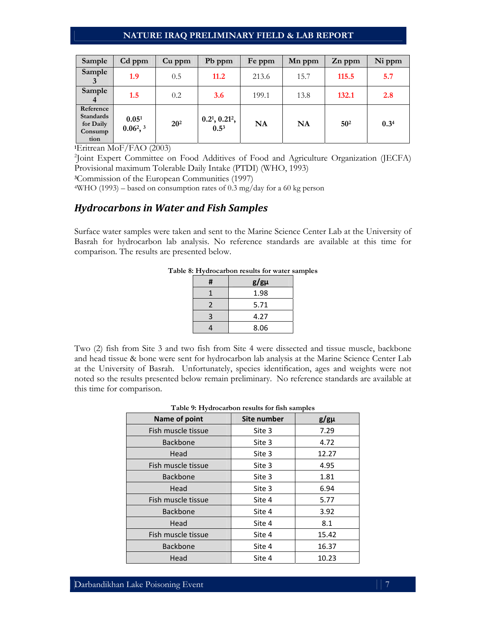| Sample                                                 | Cd ppm                  | Cu ppm          | Pb ppm                           | Fe ppm | Mn ppm | Zn ppm          | Ni ppm |
|--------------------------------------------------------|-------------------------|-----------------|----------------------------------|--------|--------|-----------------|--------|
| Sample                                                 | 1.9                     | 0.5             | 11.2                             | 213.6  | 15.7   | 115.5           | 5.7    |
| Sample<br>4                                            | 1.5                     | 0.2             | 3.6                              | 199.1  | 13.8   | 132.1           | 2.8    |
| Reference<br>Standards<br>for Daily<br>Consump<br>tion | 0.051<br>$0.06^2$ , $3$ | 20 <sup>2</sup> | 0.21, 0.212,<br>0.5 <sup>3</sup> | NA     | NA     | 50 <sup>2</sup> | 0.34   |

**<sup>1</sup>**Eritrean MoF/FAO (2003)

<sup>2</sup>Joint Expert Committee on Food Additives of Food and Agriculture Organization (JECFA) Provisional maximum Tolerable Daily Intake (PTDI) (WHO, 1993)

**<sup>3</sup>**Commission of the European Communities (1997)

4WHO (1993) – based on consumption rates of 0.3 mg/day for a 60 kg person

#### *Hydrocarbons in Water and Fish Samples*

Surface water samples were taken and sent to the Marine Science Center Lab at the University of Basrah for hydrocarbon lab analysis. No reference standards are available at this time for comparison. The results are presented below.

| # | $g/g\mu$ |
|---|----------|
|   | 1.98     |
| 2 | 5.71     |
| З | 4.27     |
|   | 8.06     |

**Table 8: Hydrocarbon results for water samples** 

Two (2) fish from Site 3 and two fish from Site 4 were dissected and tissue muscle, backbone and head tissue & bone were sent for hydrocarbon lab analysis at the Marine Science Center Lab at the University of Basrah. Unfortunately, species identification, ages and weights were not noted so the results presented below remain preliminary. No reference standards are available at this time for comparison.

#### **Table 9: Hydrocarbon results for fish samples**

| Name of point      | Site number | $g/g\mu$ |
|--------------------|-------------|----------|
| Fish muscle tissue | Site 3      | 7.29     |
| <b>Backbone</b>    | Site 3      | 4.72     |
| Head               | Site 3      | 12.27    |
| Fish muscle tissue | Site 3      | 4.95     |
| <b>Backbone</b>    | Site 3      | 1.81     |
| Head               | Site 3      | 6.94     |
| Fish muscle tissue | Site 4      | 5.77     |
| <b>Backbone</b>    | Site 4      | 3.92     |
| Head               | Site 4      | 8.1      |
| Fish muscle tissue | Site 4      | 15.42    |
| <b>Backbone</b>    | Site 4      | 16.37    |
| Head               | Site 4      | 10.23    |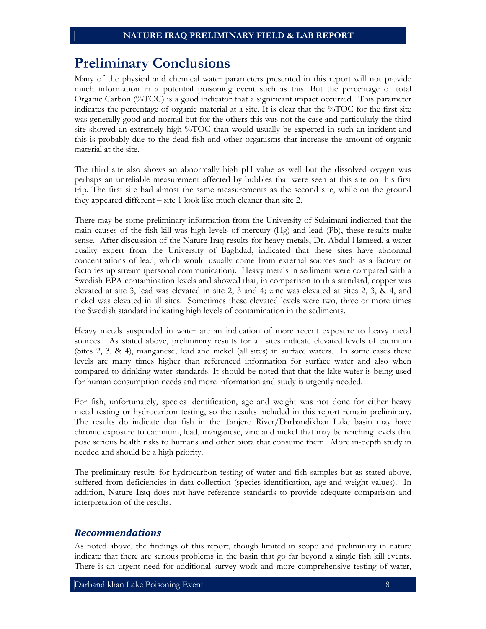## **Preliminary Conclusions**

Many of the physical and chemical water parameters presented in this report will not provide much information in a potential poisoning event such as this. But the percentage of total Organic Carbon (%TOC) is a good indicator that a significant impact occurred. This parameter indicates the percentage of organic material at a site. It is clear that the %TOC for the first site was generally good and normal but for the others this was not the case and particularly the third site showed an extremely high %TOC than would usually be expected in such an incident and this is probably due to the dead fish and other organisms that increase the amount of organic material at the site.

The third site also shows an abnormally high pH value as well but the dissolved oxygen was perhaps an unreliable measurement affected by bubbles that were seen at this site on this first trip. The first site had almost the same measurements as the second site, while on the ground they appeared different – site 1 look like much cleaner than site 2.

There may be some preliminary information from the University of Sulaimani indicated that the main causes of the fish kill was high levels of mercury (Hg) and lead (Pb), these results make sense. After discussion of the Nature Iraq results for heavy metals, Dr. Abdul Hameed, a water quality expert from the University of Baghdad, indicated that these sites have abnormal concentrations of lead, which would usually come from external sources such as a factory or factories up stream (personal communication). Heavy metals in sediment were compared with a Swedish EPA contamination levels and showed that, in comparison to this standard, copper was elevated at site 3, lead was elevated in site 2, 3 and 4; zinc was elevated at sites 2, 3, & 4, and nickel was elevated in all sites. Sometimes these elevated levels were two, three or more times the Swedish standard indicating high levels of contamination in the sediments.

Heavy metals suspended in water are an indication of more recent exposure to heavy metal sources. As stated above, preliminary results for all sites indicate elevated levels of cadmium (Sites 2, 3, & 4), manganese, lead and nickel (all sites) in surface waters. In some cases these levels are many times higher than referenced information for surface water and also when compared to drinking water standards. It should be noted that that the lake water is being used for human consumption needs and more information and study is urgently needed.

For fish, unfortunately, species identification, age and weight was not done for either heavy metal testing or hydrocarbon testing, so the results included in this report remain preliminary. The results do indicate that fish in the Tanjero River/Darbandikhan Lake basin may have chronic exposure to cadmium, lead, manganese, zinc and nickel that may be reaching levels that pose serious health risks to humans and other biota that consume them. More in-depth study in needed and should be a high priority.

The preliminary results for hydrocarbon testing of water and fish samples but as stated above, suffered from deficiencies in data collection (species identification, age and weight values). In addition, Nature Iraq does not have reference standards to provide adequate comparison and interpretation of the results.

### *Recommendations*

As noted above, the findings of this report, though limited in scope and preliminary in nature indicate that there are serious problems in the basin that go far beyond a single fish kill events. There is an urgent need for additional survey work and more comprehensive testing of water,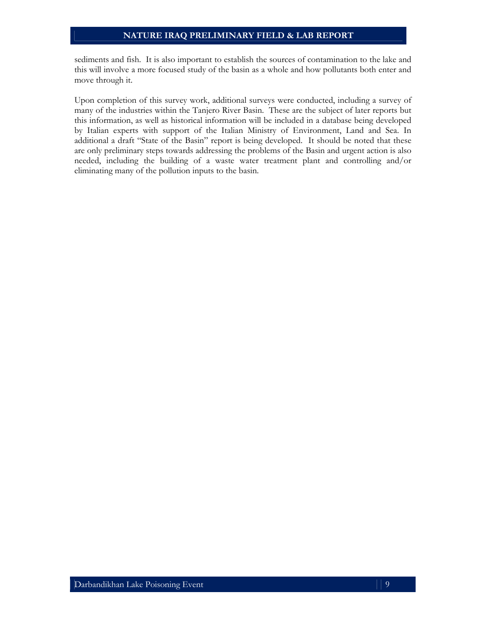sediments and fish. It is also important to establish the sources of contamination to the lake and this will involve a more focused study of the basin as a whole and how pollutants both enter and move through it.

Upon completion of this survey work, additional surveys were conducted, including a survey of many of the industries within the Tanjero River Basin. These are the subject of later reports but this information, as well as historical information will be included in a database being developed by Italian experts with support of the Italian Ministry of Environment, Land and Sea. In additional a draft "State of the Basin" report is being developed. It should be noted that these are only preliminary steps towards addressing the problems of the Basin and urgent action is also needed, including the building of a waste water treatment plant and controlling and/or eliminating many of the pollution inputs to the basin.